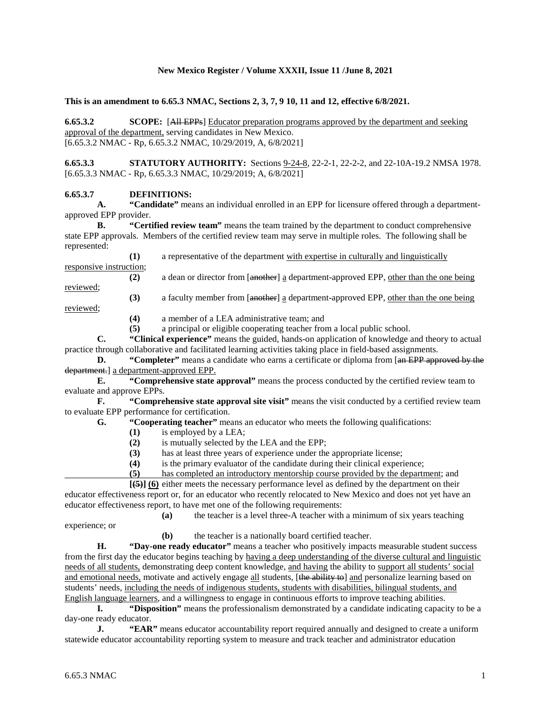## **New Mexico Register / Volume XXXII, Issue 11 /June 8, 2021**

**This is an amendment to 6.65.3 NMAC, Sections 2, 3, 7, 9 10, 11 and 12, effective 6/8/2021.**

**6.65.3.2 SCOPE:** [All EPPs] Educator preparation programs approved by the department and seeking approval of the department, serving candidates in New Mexico. [6.65.3.2 NMAC - Rp, 6.65.3.2 NMAC, 10/29/2019, A, 6/8/2021]

**6.65.3.3 STATUTORY AUTHORITY:** Sections <u>9-24-8</u>, 22-2-1, 22-2-2, and 22-10A-19.2 NMSA 1978. [6.65.3.3 NMAC - Rp, 6.65.3.3 NMAC, 10/29/2019; A, 6/8/2021]

## **6.65.3.7 DEFINITIONS:**

**A. "Candidate"** means an individual enrolled in an EPP for licensure offered through a departmentapproved EPP provider.

**B. "Certified review team"** means the team trained by the department to conduct comprehensive state EPP approvals. Members of the certified review team may serve in multiple roles. The following shall be represented:

**(1)** a representative of the department with expertise in culturally and linguistically responsive instruction; **(2)** a dean or director from [another] a department-approved EPP, other than the one being reviewed;

**(3)** a faculty member from [another] a department-approved EPP, other than the one being

reviewed;

**(4)** a member of a LEA administrative team; and

**(5)** a principal or eligible cooperating teacher from a local public school.

**C. "Clinical experience"** means the guided, hands-on application of knowledge and theory to actual practice through collaborative and facilitated learning activities taking place in field-based assignments.

**D. "Completer"** means a candidate who earns a certificate or diploma from [an EPP approved by the department.] a department-approved EPP.

**E. "Comprehensive state approval"** means the process conducted by the certified review team to evaluate and approve EPPs.

**F. "Comprehensive state approval site visit"** means the visit conducted by a certified review team to evaluate EPP performance for certification.<br> **G.** "Cooperating teacher" measurement

**G. "Cooperating teacher"** means an educator who meets the following qualifications:

- **(1)** is employed by a LEA;
- (2) is mutually selected by the LEA and the EPP;<br>(3) has at least three years of experience under the

has at least three years of experience under the appropriate license;

**(4)** is the primary evaluator of the candidate during their clinical experience;

**(5)** has completed an introductory mentorship course provided by the department; and

**[(5)] (6)** either meets the necessary performance level as defined by the department on their educator effectiveness report or, for an educator who recently relocated to New Mexico and does not yet have an educator effectiveness report, to have met one of the following requirements:

**(a)** the teacher is a level three-A teacher with a minimum of six years teaching experience; or

**(b)** the teacher is a nationally board certified teacher.

**H. "Day-one ready educator"** means a teacher who positively impacts measurable student success from the first day the educator begins teaching by having a deep understanding of the diverse cultural and linguistic needs of all students, demonstrating deep content knowledge, and having the ability to support all students' social and emotional needs, motivate and actively engage all students, [the ability to] and personalize learning based on students' needs, including the needs of indigenous students, students with disabilities, bilingual students, and English language learners, and a willingness to engage in continuous efforts to improve teaching abilities.

**I. "Disposition"** means the professionalism demonstrated by a candidate indicating capacity to be a day-one ready educator.

**J. "EAR"** means educator accountability report required annually and designed to create a uniform statewide educator accountability reporting system to measure and track teacher and administrator education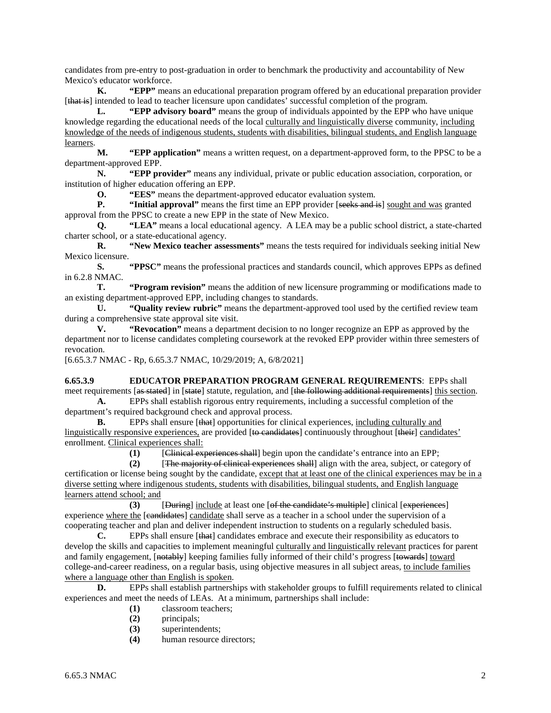candidates from pre-entry to post-graduation in order to benchmark the productivity and accountability of New Mexico's educator workforce.

**K. "EPP"** means an educational preparation program offered by an educational preparation provider [that is] intended to lead to teacher licensure upon candidates' successful completion of the program.

**L. "EPP advisory board"** means the group of individuals appointed by the EPP who have unique knowledge regarding the educational needs of the local culturally and linguistically diverse community, including knowledge of the needs of indigenous students, students with disabilities, bilingual students, and English language learners.

**M. "EPP application"** means a written request, on a department-approved form, to the PPSC to be a department-approved EPP.

**N. "EPP provider"** means any individual, private or public education association, corporation, or institution of higher education offering an EPP.

**O. "EES"** means the department-approved educator evaluation system.

**P. "Initial approval"** means the first time an EPP provider [seeks and is] sought and was granted approval from the PPSC to create a new EPP in the state of New Mexico.

**Q. "LEA"** means a local educational agency. A LEA may be a public school district, a state-charted charter school, or a state-educational agency.

**R. "New Mexico teacher assessments"** means the tests required for individuals seeking initial New Mexico licensure.

**S. "PPSC"** means the professional practices and standards council, which approves EPPs as defined in 6.2.8 NMAC.

**T. "Program revision"** means the addition of new licensure programming or modifications made to an existing department-approved EPP, including changes to standards.

**U. "Quality review rubric"** means the department-approved tool used by the certified review team during a comprehensive state approval site visit.

**V. "Revocation"** means a department decision to no longer recognize an EPP as approved by the department nor to license candidates completing coursework at the revoked EPP provider within three semesters of revocation.

[6.65.3.7 NMAC - Rp, 6.65.3.7 NMAC, 10/29/2019; A, 6/8/2021]

**6.65.3.9 EDUCATOR PREPARATION PROGRAM GENERAL REQUIREMENTS**: EPPs shall meet requirements [as stated] in [state] statute, regulation, and [the following additional requirements] this section.

**A.** EPPs shall establish rigorous entry requirements, including a successful completion of the department's required background check and approval process.

**B.** EPPs shall ensure [that] opportunities for clinical experiences, including culturally and linguistically responsive experiences, are provided [to candidates] continuously throughout [their] candidates' enrollment. Clinical experiences shall:

**(1)** [Clinical experiences shall] begin upon the candidate's entrance into an EPP;

**(2)** [The majority of clinical experiences shall] align with the area, subject, or category of certification or license being sought by the candidate, except that at least one of the clinical experiences may be in a diverse setting where indigenous students, students with disabilities, bilingual students, and English language learners attend school; and

**(3)** [During] include at least one [of the candidate's multiple] clinical [experiences] experience where the [candidates] candidate shall serve as a teacher in a school under the supervision of a cooperating teacher and plan and deliver independent instruction to students on a regularly scheduled basis.

**C.** EPPs shall ensure [that] candidates embrace and execute their responsibility as educators to develop the skills and capacities to implement meaningful culturally and linguistically relevant practices for parent and family engagement,  $[{\text{notably}}]$  keeping families fully informed of their child's progress [towards] toward college-and-career readiness, on a regular basis, using objective measures in all subject areas, to include families where a language other than English is spoken.

**D.** EPPs shall establish partnerships with stakeholder groups to fulfill requirements related to clinical experiences and meet the needs of LEAs. At a minimum, partnerships shall include:

- **(1)** classroom teachers;
- **(2)** principals;
- **(3)** superintendents;
- **(4)** human resource directors;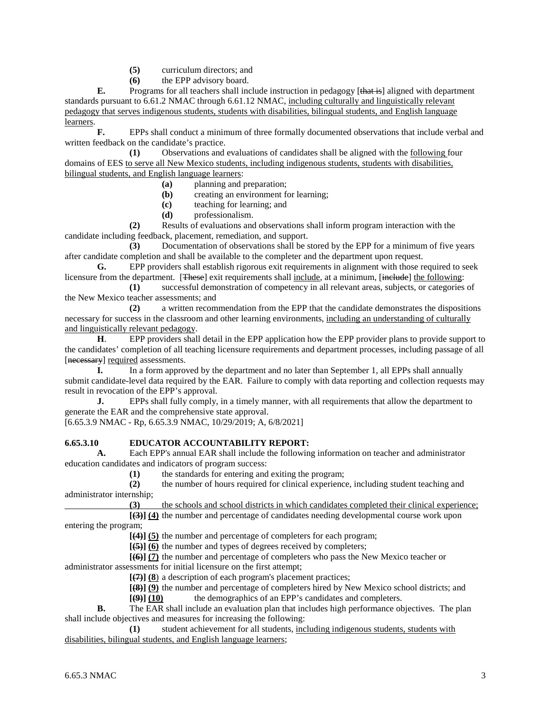- **(5)** curriculum directors; and
- **(6)** the EPP advisory board.

**E.** Programs for all teachers shall include instruction in pedagogy [that is] aligned with department standards pursuant to 6.61.2 NMAC through 6.61.12 NMAC, including culturally and linguistically relevant pedagogy that serves indigenous students, students with disabilities, bilingual students, and English language learners.

**F.** EPPs shall conduct a minimum of three formally documented observations that include verbal and written feedback on the candidate's practice.

**(1)** Observations and evaluations of candidates shall be aligned with the following four domains of EES to serve all New Mexico students, including indigenous students, students with disabilities, bilingual students, and English language learners:

- **(a)** planning and preparation;
- **(b)** creating an environment for learning;
- **(c)** teaching for learning; and
- **(d)** professionalism.

**(2)** Results of evaluations and observations shall inform program interaction with the candidate including feedback, placement, remediation, and support.

**(3)** Documentation of observations shall be stored by the EPP for a minimum of five years after candidate completion and shall be available to the completer and the department upon request.

**G.** EPP providers shall establish rigorous exit requirements in alignment with those required to seek licensure from the department. [These] exit requirements shall include, at a minimum, [include] the following:

**(1)** successful demonstration of competency in all relevant areas, subjects, or categories of the New Mexico teacher assessments; and

**(2)** a written recommendation from the EPP that the candidate demonstrates the dispositions necessary for success in the classroom and other learning environments, including an understanding of culturally and linguistically relevant pedagogy.

**H**. EPP providers shall detail in the EPP application how the EPP provider plans to provide support to the candidates' completion of all teaching licensure requirements and department processes, including passage of all [necessary] required assessments.

**I.** In a form approved by the department and no later than September 1, all EPPs shall annually submit candidate-level data required by the EAR. Failure to comply with data reporting and collection requests may result in revocation of the EPP's approval.

**J.** EPPs shall fully comply, in a timely manner, with all requirements that allow the department to generate the EAR and the comprehensive state approval.

[6.65.3.9 NMAC - Rp, 6.65.3.9 NMAC, 10/29/2019; A, 6/8/2021]

## **6.65.3.10 EDUCATOR ACCOUNTABILITY REPORT:**

**A.** Each EPP's annual EAR shall include the following information on teacher and administrator education candidates and indicators of program success:

**(1)** the standards for entering and exiting the program;

**(2)** the number of hours required for clinical experience, including student teaching and administrator internship;

**(3)** the schools and school districts in which candidates completed their clinical experience;

**[(3)] (4)** the number and percentage of candidates needing developmental course work upon entering the program;

**[(4)] (5)** the number and percentage of completers for each program;

**[(5)] (6)** the number and types of degrees received by completers;

**[(6)] (7)** the number and percentage of completers who pass the New Mexico teacher or administrator assessments for initial licensure on the first attempt;

**[(7)] (8**) a description of each program's placement practices;

**[(8)] (9)** the number and percentage of completers hired by New Mexico school districts; and

**[(9)] (10)** the demographics of an EPP's candidates and completers.

**B.** The EAR shall include an evaluation plan that includes high performance objectives. The plan shall include objectives and measures for increasing the following:

**(1)** student achievement for all students, including indigenous students, students with disabilities, bilingual students, and English language learners;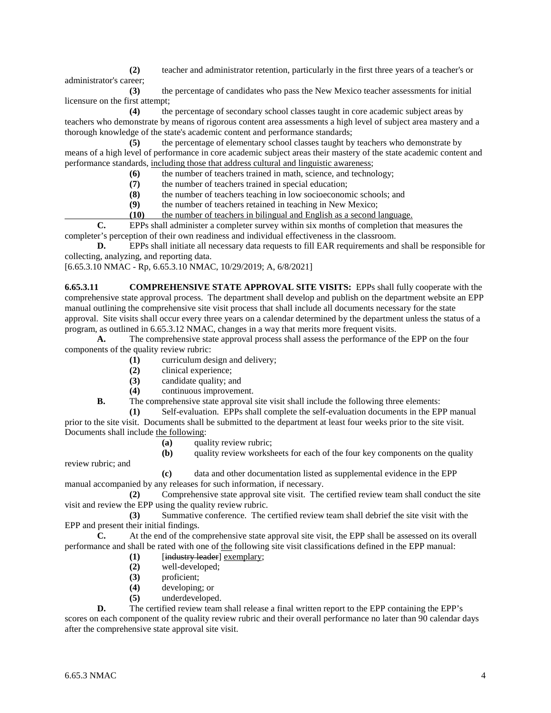**(2)** teacher and administrator retention, particularly in the first three years of a teacher's or administrator's career;

**(3)** the percentage of candidates who pass the New Mexico teacher assessments for initial licensure on the first attempt;

**(4)** the percentage of secondary school classes taught in core academic subject areas by teachers who demonstrate by means of rigorous content area assessments a high level of subject area mastery and a thorough knowledge of the state's academic content and performance standards;

**(5)** the percentage of elementary school classes taught by teachers who demonstrate by means of a high level of performance in core academic subject areas their mastery of the state academic content and performance standards, including those that address cultural and linguistic awareness;

**(6)** the number of teachers trained in math, science, and technology;

**(7)** the number of teachers trained in special education;

**(8)** the number of teachers teaching in low socioeconomic schools; and

**(9)** the number of teachers retained in teaching in New Mexico;

**(10)** the number of teachers in bilingual and English as a second language.

**C.** EPPs shall administer a completer survey within six months of completion that measures the completer's perception of their own readiness and individual effectiveness in the classroom.

**D.** EPPs shall initiate all necessary data requests to fill EAR requirements and shall be responsible for collecting, analyzing, and reporting data.

[6.65.3.10 NMAC - Rp, 6.65.3.10 NMAC, 10/29/2019; A, 6/8/2021]

**6.65.3.11 COMPREHENSIVE STATE APPROVAL SITE VISITS:** EPPs shall fully cooperate with the comprehensive state approval process. The department shall develop and publish on the department website an EPP manual outlining the comprehensive site visit process that shall include all documents necessary for the state approval. Site visits shall occur every three years on a calendar determined by the department unless the status of a program, as outlined in 6.65.3.12 NMAC, changes in a way that merits more frequent visits.

**A.** The comprehensive state approval process shall assess the performance of the EPP on the four components of the quality review rubric:

- **(1)** curriculum design and delivery;
- **(2)** clinical experience;
- **(3)** candidate quality; and
- **(4)** continuous improvement.

**B.** The comprehensive state approval site visit shall include the following three elements:

**(1)** Self-evaluation. EPPs shall complete the self-evaluation documents in the EPP manual prior to the site visit. Documents shall be submitted to the department at least four weeks prior to the site visit. Documents shall include the following:

**(a)** quality review rubric;

review rubric; and

**(c)** data and other documentation listed as supplemental evidence in the EPP manual accompanied by any releases for such information, if necessary.

**(2)** Comprehensive state approval site visit. The certified review team shall conduct the site visit and review the EPP using the quality review rubric.

**(3)** Summative conference. The certified review team shall debrief the site visit with the EPP and present their initial findings.

**C.** At the end of the comprehensive state approval site visit, the EPP shall be assessed on its overall performance and shall be rated with one of the following site visit classifications defined in the EPP manual:

- **(1)** [industry leader] exemplary;
- **(2)** well-developed;
- **(3)** proficient;
- **(4)** developing; or
- **(5)** underdeveloped.

**D.** The certified review team shall release a final written report to the EPP containing the EPP's scores on each component of the quality review rubric and their overall performance no later than 90 calendar days after the comprehensive state approval site visit.

**<sup>(</sup>b)** quality review worksheets for each of the four key components on the quality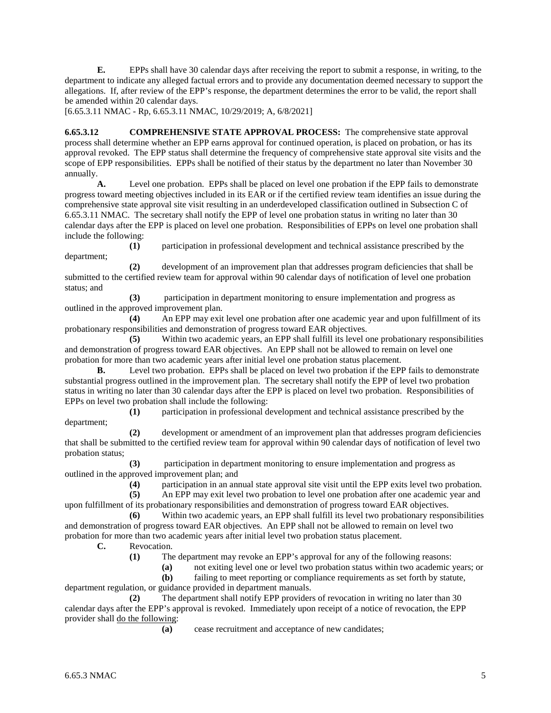**E.** EPPs shall have 30 calendar days after receiving the report to submit a response, in writing, to the department to indicate any alleged factual errors and to provide any documentation deemed necessary to support the allegations. If, after review of the EPP's response, the department determines the error to be valid, the report shall be amended within 20 calendar days.

[6.65.3.11 NMAC - Rp, 6.65.3.11 NMAC, 10/29/2019; A, 6/8/2021]

**6.65.3.12 COMPREHENSIVE STATE APPROVAL PROCESS:** The comprehensive state approval process shall determine whether an EPP earns approval for continued operation, is placed on probation, or has its approval revoked. The EPP status shall determine the frequency of comprehensive state approval site visits and the scope of EPP responsibilities. EPPs shall be notified of their status by the department no later than November 30 annually.

**A.** Level one probation. EPPs shall be placed on level one probation if the EPP fails to demonstrate progress toward meeting objectives included in its EAR or if the certified review team identifies an issue during the comprehensive state approval site visit resulting in an underdeveloped classification outlined in Subsection C of 6.65.3.11 NMAC. The secretary shall notify the EPP of level one probation status in writing no later than 30 calendar days after the EPP is placed on level one probation. Responsibilities of EPPs on level one probation shall include the following:

**(1)** participation in professional development and technical assistance prescribed by the department;

**(2)** development of an improvement plan that addresses program deficiencies that shall be submitted to the certified review team for approval within 90 calendar days of notification of level one probation status; and

**(3)** participation in department monitoring to ensure implementation and progress as outlined in the approved improvement plan.

**(4)** An EPP may exit level one probation after one academic year and upon fulfillment of its probationary responsibilities and demonstration of progress toward EAR objectives.

**(5)** Within two academic years, an EPP shall fulfill its level one probationary responsibilities and demonstration of progress toward EAR objectives. An EPP shall not be allowed to remain on level one probation for more than two academic years after initial level one probation status placement.

**B.** Level two probation. EPPs shall be placed on level two probation if the EPP fails to demonstrate substantial progress outlined in the improvement plan. The secretary shall notify the EPP of level two probation status in writing no later than 30 calendar days after the EPP is placed on level two probation. Responsibilities of EPPs on level two probation shall include the following:

**(1)** participation in professional development and technical assistance prescribed by the department;

**(2)** development or amendment of an improvement plan that addresses program deficiencies that shall be submitted to the certified review team for approval within 90 calendar days of notification of level two probation status;

**(3)** participation in department monitoring to ensure implementation and progress as outlined in the approved improvement plan; and

**(4)** participation in an annual state approval site visit until the EPP exits level two probation.

**(5)** An EPP may exit level two probation to level one probation after one academic year and upon fulfillment of its probationary responsibilities and demonstration of progress toward EAR objectives.

**(6)** Within two academic years, an EPP shall fulfill its level two probationary responsibilities and demonstration of progress toward EAR objectives. An EPP shall not be allowed to remain on level two probation for more than two academic years after initial level two probation status placement.

**C.** Revocation.

**(1)** The department may revoke an EPP's approval for any of the following reasons:

**(a)** not exiting level one or level two probation status within two academic years; or

**(b)** failing to meet reporting or compliance requirements as set forth by statute, department regulation, or guidance provided in department manuals.

**(2)** The department shall notify EPP providers of revocation in writing no later than 30 calendar days after the EPP's approval is revoked. Immediately upon receipt of a notice of revocation, the EPP provider shall do the following:

**(a)** cease recruitment and acceptance of new candidates;